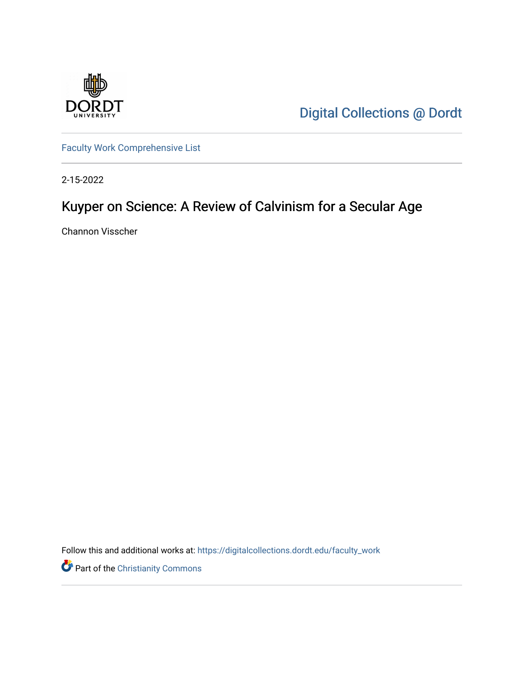

[Digital Collections @ Dordt](https://digitalcollections.dordt.edu/) 

[Faculty Work Comprehensive List](https://digitalcollections.dordt.edu/faculty_work)

2-15-2022

# Kuyper on Science: A Review of Calvinism for a Secular Age

Channon Visscher

Follow this and additional works at: [https://digitalcollections.dordt.edu/faculty\\_work](https://digitalcollections.dordt.edu/faculty_work?utm_source=digitalcollections.dordt.edu%2Ffaculty_work%2F1368&utm_medium=PDF&utm_campaign=PDFCoverPages) 

Part of the [Christianity Commons](http://network.bepress.com/hgg/discipline/1181?utm_source=digitalcollections.dordt.edu%2Ffaculty_work%2F1368&utm_medium=PDF&utm_campaign=PDFCoverPages)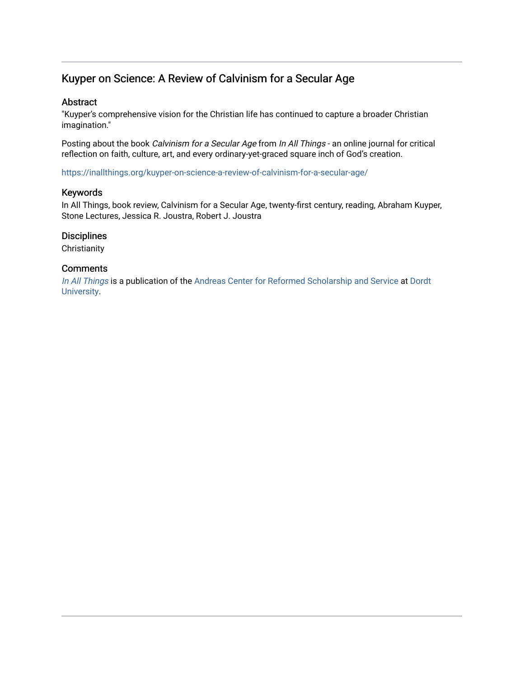## Kuyper on Science: A Review of Calvinism for a Secular Age

#### Abstract

"Kuyper's comprehensive vision for the Christian life has continued to capture a broader Christian imagination."

Posting about the book Calvinism for a Secular Age from In All Things - an online journal for critical reflection on faith, culture, art, and every ordinary-yet-graced square inch of God's creation.

<https://inallthings.org/kuyper-on-science-a-review-of-calvinism-for-a-secular-age/>

#### Keywords

In All Things, book review, Calvinism for a Secular Age, twenty-first century, reading, Abraham Kuyper, Stone Lectures, Jessica R. Joustra, Robert J. Joustra

#### **Disciplines**

**Christianity** 

#### **Comments**

[In All Things](http://inallthings.org/) is a publication of the [Andreas Center for Reformed Scholarship and Service](http://www.dordt.edu/services_support/andreas_center/) at Dordt [University](http://www.dordt.edu/).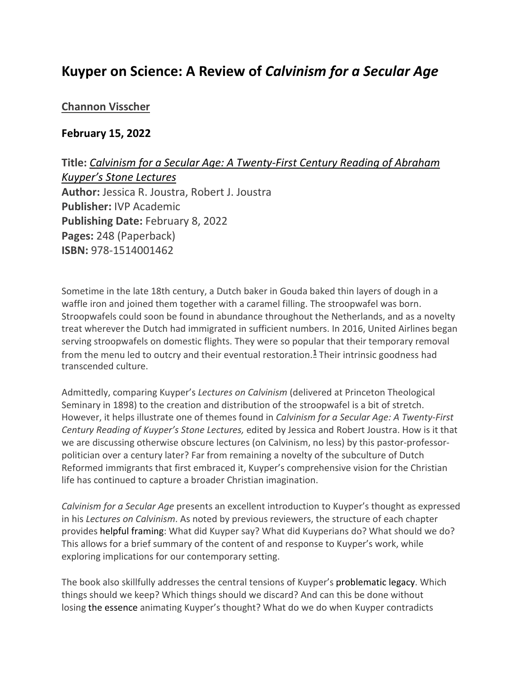## **Kuyper on Science: A Review of** *Calvinism for a Secular Age*

#### **[Channon Visscher](https://inallthings.org/author/channon_admin/)**

#### **February 15, 2022**

**Title:** *Calvinism for a Secular Age: A Twenty-First Century Reading of Abraham Kuyper's Stone Lectures* **Author:** Jessica R. Joustra, Robert J. Joustra **Publisher:** IVP Academic **Publishing Date:** February 8, 2022 **Pages:** 248 (Paperback) **ISBN:** 978-1514001462

Sometime in the late 18th century, a Dutch baker in Gouda baked thin layers of dough in a waffle iron and joined them together with a caramel filling. The stroopwafel was born. Stroopwafels could soon be found in abundance throughout the Netherlands, and as a novelty treat wherever the Dutch had immigrated in sufficient numbers. In 2016, United Airlines began serving stroopwafels on domestic flights. They were so popular that their temporary removal from the menu led to outcry and their eventual restoration.<sup>[1](https://inallthings.org/kuyper-on-science-a-review-of-calvinism-for-a-secular-age/#fn1-22150)</sup> Their intrinsic goodness had transcended culture.

Admittedly, comparing Kuyper's *Lectures on Calvinism* (delivered at Princeton Theological Seminary in 1898) to the creation and distribution of the stroopwafel is a bit of stretch. However, it helps illustrate one of themes found in *Calvinism for a Secular Age: A Twenty-First Century Reading of Kuyper's Stone Lectures,* edited by Jessica and Robert Joustra. How is it that we are discussing otherwise obscure lectures (on Calvinism, no less) by this pastor-professorpolitician over a century later? Far from remaining a novelty of the subculture of Dutch Reformed immigrants that first embraced it, Kuyper's comprehensive vision for the Christian life has continued to capture a broader Christian imagination.

*Calvinism for a Secular Age* presents an excellent introduction to Kuyper's thought as expressed in his *Lectures on Calvinism*. As noted by previous reviewers, the structure of each chapter provides helpful framing: What did Kuyper say? What did Kuyperians do? What should we do? This allows for a brief summary of the content of and response to Kuyper's work, while exploring implications for our contemporary setting.

The book also skillfully addresses the central tensions of Kuyper's problematic legacy. Which things should we keep? Which things should we discard? And can this be done without losing the essence animating Kuyper's thought? What do we do when Kuyper contradicts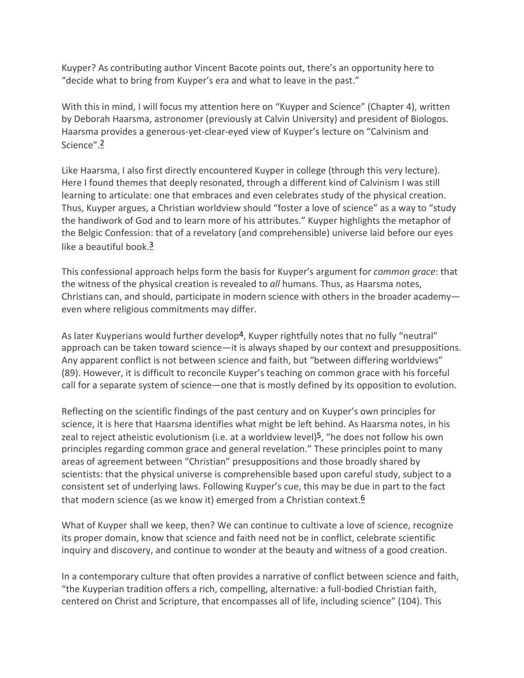Kuyper? As contributing author Vincent Bacote points out, there's an opportunity here to "decide what to bring from Kuyper's era and what to leave in the past."

With this in mind, I will focus my attention here on "Kuyper and Science" (Chapter 4), written by Deborah Haarsma, astronomer (previously at Calvin University) and president of Biologos. Haarsma provides a generous-yet-clear-eyed view of Kuyper's lecture on "Calvinism and Science".[2](https://inallthings.org/kuyper-on-science-a-review-of-calvinism-for-a-secular-age/#fn2-22150)

Like Haarsma, I also first directly encountered Kuyper in college (through this very lecture). Here I found themes that deeply resonated, through a different kind of Calvinism I was still learning to articulate: one that embraces and even celebrates study of the physical creation. Thus, Kuyper argues, a Christian worldview should "foster a love of science" as a way to "study the handiwork of God and to learn more of his attributes." Kuyper highlights the metaphor of the Belgic Confession: that of a revelatory (and comprehensible) universe laid before our eyes like a beautiful book.<sup>[3](https://inallthings.org/kuyper-on-science-a-review-of-calvinism-for-a-secular-age/#fn3-22150)</sup>

This confessional approach helps form the basis for Kuyper's argument for *common grace*: that the witness of the physical creation is revealed to *all* humans. Thus, as Haarsma notes, Christians can, and should, participate in modern science with others in the broader academy even where religious commitments may differ.

As later Kuyperians would further devel[op](https://inallthings.org/kuyper-on-science-a-review-of-calvinism-for-a-secular-age/#fn4-22150)<sup>4</sup>, Kuyper rightfully notes that no fully "neutral" approach can be taken toward science—it is always shaped by our context and presuppositions. Any apparent conflict is not between science and faith, but "between differing worldviews" (89). However, it is difficult to reconcile Kuyper's teaching on common grace with his forceful call for a separate system of science—one that is mostly defined by its opposition to evolution.

Reflecting on the scientific findings of the past century and on Kuyper's own principles for science, it is here that Haarsma identifies what might be left behind. As Haarsma notes, in his zeal to reject atheistic evolutionism (i.e. at a worldview level)[5](https://inallthings.org/kuyper-on-science-a-review-of-calvinism-for-a-secular-age/#fn5-22150), "he does not follow his own principles regarding common grace and general revelation." These principles point to many areas of agreement between "Christian" presuppositions and those broadly shared by scientists: that the physical universe is comprehensible based upon careful study, subject to a consistent set of underlying laws. Following Kuyper's cue, this may be due in part to the fact that modern science (as we know it) emerged from a Christian contex[t.](https://inallthings.org/kuyper-on-science-a-review-of-calvinism-for-a-secular-age/#fn6-22150)<sup>6</sup>

What of Kuyper shall we keep, then? We can continue to cultivate a love of science, recognize its proper domain, know that science and faith need not be in conflict, celebrate scientific inquiry and discovery, and continue to wonder at the beauty and witness of a good creation.

In a contemporary culture that often provides a narrative of conflict between science and faith, "the Kuyperian tradition offers a rich, compelling, alternative: a full-bodied Christian faith, centered on Christ and Scripture, that encompasses all of life, including science" (104). This